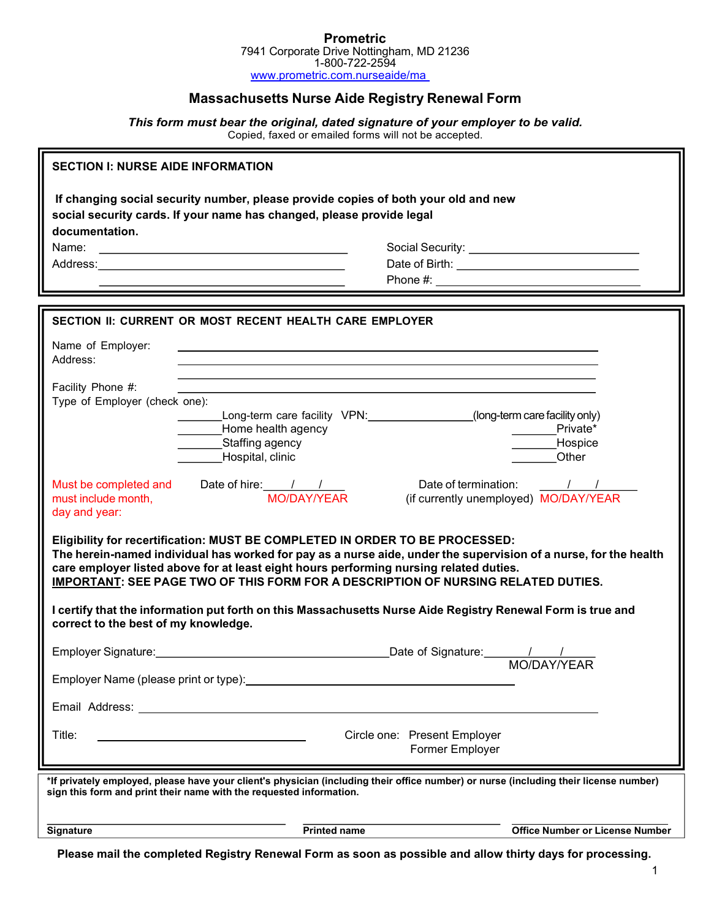#### **Prometric** 7941 Corporate Drive Nottingham, MD 21236 1-800-722-2594 www.prometric.com.nurseaide/ma

# Massachusetts Nurse Aide Registry Renewal Form

This form must bear the original, dated signature of your employer to be valid. Copied, faxed or emailed forms will not be accepted.

| <b>SECTION I: NURSE AIDE INFORMATION</b>                                                                                                                                                                                                                                                                                                                                        |                                                                                                                                                                                                                                |                                                     |
|---------------------------------------------------------------------------------------------------------------------------------------------------------------------------------------------------------------------------------------------------------------------------------------------------------------------------------------------------------------------------------|--------------------------------------------------------------------------------------------------------------------------------------------------------------------------------------------------------------------------------|-----------------------------------------------------|
| If changing social security number, please provide copies of both your old and new<br>social security cards. If your name has changed, please provide legal<br>documentation.                                                                                                                                                                                                   |                                                                                                                                                                                                                                |                                                     |
| Name:                                                                                                                                                                                                                                                                                                                                                                           | <u> 1980 - Andrea Stadt Britain, amerikansk politiker (</u>                                                                                                                                                                    |                                                     |
|                                                                                                                                                                                                                                                                                                                                                                                 |                                                                                                                                                                                                                                |                                                     |
|                                                                                                                                                                                                                                                                                                                                                                                 |                                                                                                                                                                                                                                |                                                     |
|                                                                                                                                                                                                                                                                                                                                                                                 |                                                                                                                                                                                                                                |                                                     |
| SECTION II: CURRENT OR MOST RECENT HEALTH CARE EMPLOYER                                                                                                                                                                                                                                                                                                                         |                                                                                                                                                                                                                                |                                                     |
| Name of Employer:<br>Address:                                                                                                                                                                                                                                                                                                                                                   |                                                                                                                                                                                                                                |                                                     |
| Facility Phone #:<br>Type of Employer (check one):                                                                                                                                                                                                                                                                                                                              |                                                                                                                                                                                                                                |                                                     |
|                                                                                                                                                                                                                                                                                                                                                                                 | Long-term care facility VPN: Long-term care facility VPN:                                                                                                                                                                      | (long-term care facility only)                      |
|                                                                                                                                                                                                                                                                                                                                                                                 | Home health agency<br>Staffing agency                                                                                                                                                                                          | Private*<br>Hospice                                 |
|                                                                                                                                                                                                                                                                                                                                                                                 | Hospital, clinic                                                                                                                                                                                                               | Other                                               |
| must include month,<br>day and year:                                                                                                                                                                                                                                                                                                                                            | Date of termination:                                                                                                                                                                                                           | $\sqrt{1}$<br>(if currently unemployed) MO/DAY/YEAR |
| Eligibility for recertification: MUST BE COMPLETED IN ORDER TO BE PROCESSED:<br>The herein-named individual has worked for pay as a nurse aide, under the supervision of a nurse, for the health<br>care employer listed above for at least eight hours performing nursing related duties.<br>IMPORTANT: SEE PAGE TWO OF THIS FORM FOR A DESCRIPTION OF NURSING RELATED DUTIES. |                                                                                                                                                                                                                                |                                                     |
| I certify that the information put forth on this Massachusetts Nurse Aide Registry Renewal Form is true and<br>correct to the best of my knowledge.                                                                                                                                                                                                                             |                                                                                                                                                                                                                                |                                                     |
|                                                                                                                                                                                                                                                                                                                                                                                 | Employer Signature: Management Control of the Control of the Control of the Control of the Control of the Control of the Control of the Control of the Control of the Control of the Control of the Control of the Control of  | MO/DAY/YEAR                                         |
| Employer Name (please print or type):                                                                                                                                                                                                                                                                                                                                           |                                                                                                                                                                                                                                |                                                     |
|                                                                                                                                                                                                                                                                                                                                                                                 | Email Address: University of the Contract of the Contract of the Contract of the Contract of the Contract of the Contract of the Contract of the Contract of the Contract of the Contract of the Contract of the Contract of t |                                                     |
| Title:                                                                                                                                                                                                                                                                                                                                                                          | Circle one: Present Employer<br>Former Employer                                                                                                                                                                                |                                                     |
| *If privately employed, please have your client's physician (including their office number) or nurse (including their license number)<br>sign this form and print their name with the requested information.                                                                                                                                                                    |                                                                                                                                                                                                                                |                                                     |
| Signature                                                                                                                                                                                                                                                                                                                                                                       | <b>Printed name</b>                                                                                                                                                                                                            | <b>Office Number or License Number</b>              |
|                                                                                                                                                                                                                                                                                                                                                                                 |                                                                                                                                                                                                                                |                                                     |

Please mail the completed Registry Renewal Form as soon as possible and allow thirty days for processing.